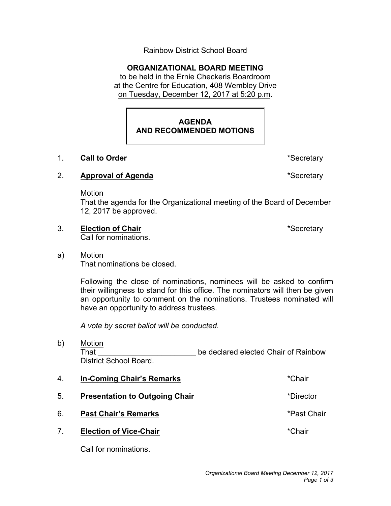# Rainbow District School Board

## **ORGANIZATIONAL BOARD MEETING**

 to be held in the Ernie Checkeris Boardroom at the Centre for Education, 408 Wembley Drive on Tuesday, December 12, 2017 at 5:20 p.m.

# **AGENDA AND RECOMMENDED MOTIONS**

### 1. **Call to Order 1. 2.1. <b>Call to Order 1. Call to Order 1. Call 1. Call 1. Call 1. Call 1. Call 1. Call 1. Call 1. Call 1. Call 1. Call 1. Call 1. Call 1. Call 1. Call 1. Call 1. C**

## 2. **Approval of Agenda** \*Secretary

Motion

 That the agenda for the Organizational meeting of the Board of December 12, 2017 be approved.

3. **Election of Chair** \*Secretary

Call for nominations.

a) **Motion** That nominations be closed.

> Following the close of nominations, nominees will be asked to confirm their willingness to stand for this office. The nominators will then be given an opportunity to comment on the nominations. Trustees nominated will have an opportunity to address trustees.

 *A vote by secret ballot will be conducted.* 

- b) That \_\_\_\_\_\_\_\_\_\_\_\_\_\_\_\_\_\_\_\_\_\_\_\_\_\_\_\_\_\_ be declared elected Chair of Rainbow Motion District School Board.
- 4. **In-Coming Chair's Remarks** \*Chair 5. Presentation to Outgoing Chair **Figure 10 and 10 and 10 and 10 and 10 and 10 and 10 and 10 and 10 and 10 and 10 and 10 and 10 and 10 and 10 and 10 and 10 and 10 and 10 and 10 and 10 and 10 and 10 and 10 and 10 and 10 an**  6. **Past Chair's Remarks** \*Past Chair 7. **Election of Vice-Chair** \*Chair

Call for nominations.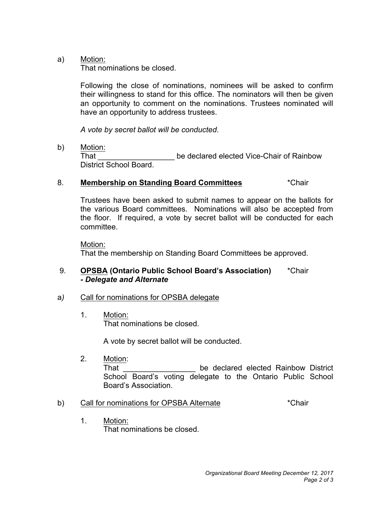a) Motion:

That nominations be closed.

 Following the close of nominations, nominees will be asked to confirm their willingness to stand for this office. The nominators will then be given an opportunity to comment on the nominations. Trustees nominated will have an opportunity to address trustees.

 *A vote by secret ballot will be conducted*.

b) Motion:

 That \_\_\_\_\_\_\_\_\_\_\_\_\_\_\_\_\_\_ be declared elected Vice-Chair of Rainbow District School Board.

### 8. Membership on Standing Board Committees **\*Chair**

 Trustees have been asked to submit names to appear on the ballots for the various Board committees. Nominations will also be accepted from the floor. If required, a vote by secret ballot will be conducted for each committee.

 That the membership on Standing Board Committees be approved. Motion:

### 9.  *- Delegate and Alternate*  9. **OPSBA (Ontario Public School Board's Association)** \*Chair

#### a) Call for nominations for OPSBA delegate

1. Motion: That nominations be closed.

A vote by secret ballot will be conducted.

j. School Board's voting delegate to the Ontario Public School 2. Motion: That **That Example 2** be declared elected Rainbow District Board's Association.

### b) Call for nominations for OPSBA Alternate **that is a contact that the Chair**

1. Motion: That nominations be closed.